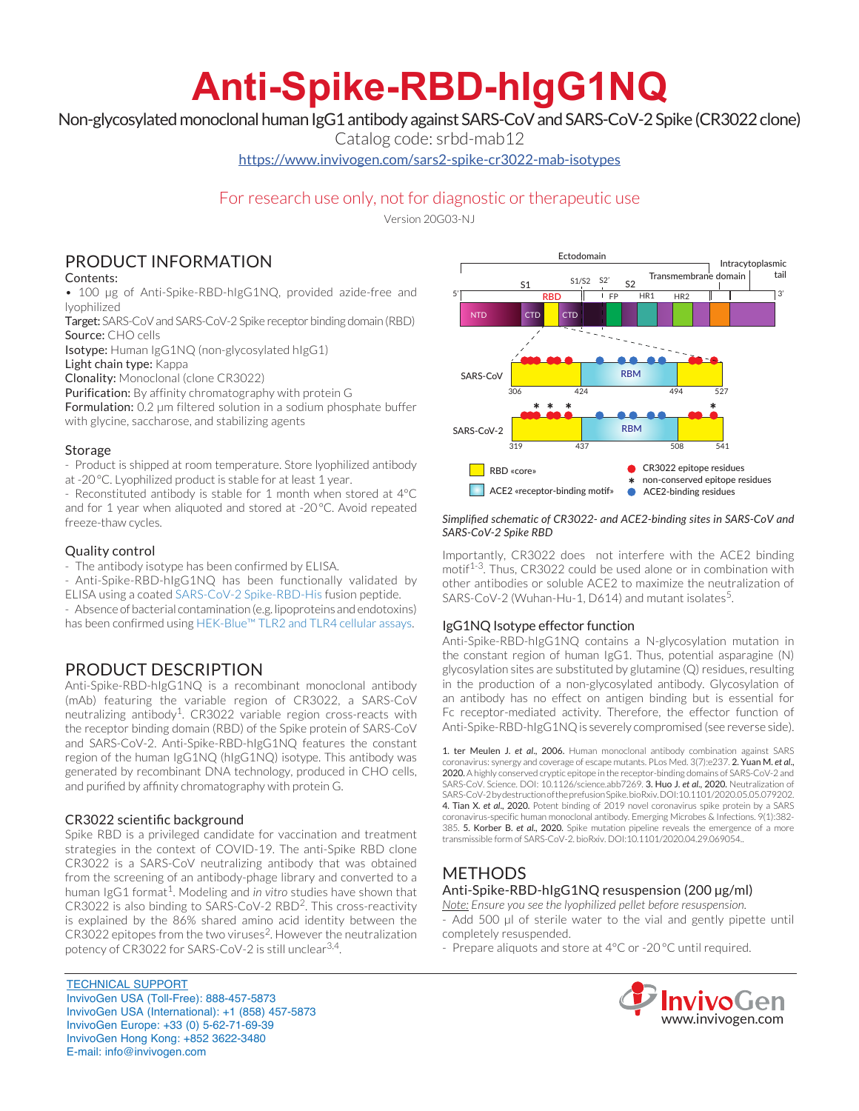# **Anti-Spike-RBD-hIgG1NQ**

Non-glycosylated monoclonal human IgG1 antibody against SARS-CoV and SARS-CoV-2 Spike (CR3022 clone)

Catalog code: srbd-mab12

https://www.invivogen.com/sars2-spike-cr3022-mab-isotypes

# For research use only, not for diagnostic or therapeutic use

Version 20G03-NJ

# PRODUCT INFORMATION

## Contents:

• 100 µg of Anti-Spike-RBD-hIgG1NQ, provided azide-free and lyophilized

Target: SARS-CoV and SARS-CoV-2 Spike receptor binding domain (RBD) Source: CHO cells

Isotype: Human IgG1NQ (non-glycosylated hIgG1)

Light chain type: Kappa

Clonality: Monoclonal (clone CR3022)

Purification: By affinity chromatography with protein G

Formulation: 0.2 µm filtered solution in a sodium phosphate buffer with glycine, saccharose, and stabilizing agents

# Storage

- Product is shipped at room temperature. Store lyophilized antibody at -20°C. Lyophilized product is stable for at least 1 year.

- Reconstituted antibody is stable for 1 month when stored at 4°C and for 1 year when aliquoted and stored at -20°C. Avoid repeated freeze-thaw cycles.

## Quality control

- The antibody isotype has been confirmed by ELISA.

- Anti-Spike-RBD-hIgG1NQ has been functionally validated by

ELISA using a coated SARS-CoV-2 Spike-RBD-His fusion peptide.

- Absence of bacterial contamination (e.g. lipoproteins and endotoxins) has been confirmed using HEK-Blue™ TLR2 and TLR4 cellular assays.

# PRODUCT DESCRIPTION

Anti-Spike-RBD-hIgG1NQ is a recombinant monoclonal antibody (mAb) featuring the variable region of CR3022, a SARS-CoV neutralizing antibody<sup>1</sup>. CR3022 variable region cross-reacts with the receptor binding domain (RBD) of the Spike protein of SARS-CoV and SARS-CoV-2. Anti-Spike-RBD-hIgG1NQ features the constant region of the human IgG1NQ (hIgG1NQ) isotype. This antibody was generated by recombinant DNA technology, produced in CHO cells, and purified by affinity chromatography with protein G.

# CR3022 scientific background

Spike RBD is a privileged candidate for vaccination and treatment strategies in the context of COVID-19. The anti-Spike RBD clone CR3022 is a SARS-CoV neutralizing antibody that was obtained from the screening of an antibody-phage library and converted to a human IgG1 format<sup>1</sup>. Modeling and *in vitro* studies have shown that CR3022 is also binding to SARS-CoV-2 RBD<sup>2</sup>. This cross-reactivity is explained by the 86% shared amino acid identity between the CR3022 epitopes from the two viruses<sup>2</sup>. However the neutralization potency of CR3022 for SARS-CoV-2 is still unclear<sup>3,4</sup>.

TECHNICAL SUPPORT InvivoGen USA (Toll‑Free): 888-457-5873 InvivoGen USA (International): +1 (858) 457-5873 InvivoGen Europe: +33 (0) 5-62-71-69-39 InvivoGen Hong Kong: +852 3622-3480 E-mail: info@invivogen.com



#### *Simplified schematic of CR3022- and ACE2-binding sites in SARS-CoV and SARS-CoV-2 Spike RBD*

Importantly, CR3022 does not interfere with the ACE2 binding motif<sup>1-3</sup>. Thus, CR3022 could be used alone or in combination with other antibodies or soluble ACE2 to maximize the neutralization of SARS-CoV-2 (Wuhan-Hu-1, D614) and mutant isolates<sup>5</sup>.

### IgG1NQ Isotype effector function

Anti-Spike-RBD-hIgG1NQ contains a N-glycosylation mutation in the constant region of human IgG1. Thus, potential asparagine (N) glycosylation sites are substituted by glutamine (Q) residues, resulting in the production of a non-glycosylated antibody. Glycosylation of an antibody has no effect on antigen binding but is essential for Fc receptor-mediated activity. Therefore, the effector function of Anti-Spike-RBD-hIgG1NQ is severely compromised (see reverse side).

1. ter Meulen J. *et al*., 2006. Human monoclonal antibody combination against SARS coronavirus: synergy and coverage of escape mutants. PLos Med. 3(7):e237. 2. Yuan M. *et al*., 2020. A highly conserved cryptic epitope in the receptor-binding domains of SARS-CoV-2 and SARS-CoV. Science. DOI: 10.1126/science.abb7269. 3. Huo J. *et al*., 2020. Neutralization of SARS-CoV-2 by destruction of the prefusion Spike. bioRxiv. DOI:10.1101/2020.05.05.079202. 4. Tian X. *et al*., 2020. Potent binding of 2019 novel coronavirus spike protein by a SARS coronavirus-specific human monoclonal antibody. Emerging Microbes & Infections. 9(1):382- 385. 5. Korber B. *et al*., 2020. Spike mutation pipeline reveals the emergence of a more transmissible form of SARS-CoV-2. bioRxiv. DOI:10.1101/2020.04.29.069054..

# METHODS

# Anti-Spike-RBD-hIgG1NQ resuspension (200 µg/ml)

*Note: Ensure you see the lyophilized pellet before resuspension.* - Add 500 µl of sterile water to the vial and gently pipette until completely resuspended.

- Prepare aliquots and store at 4°C or -20 °C until required.